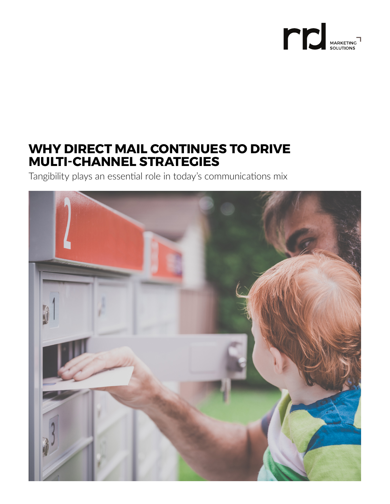

### **WHY DIRECT MAIL CONTINUES TO DRIVE MULTI-CHANNEL STRATEGIES**

Tangibility plays an essential role in today's communications mix

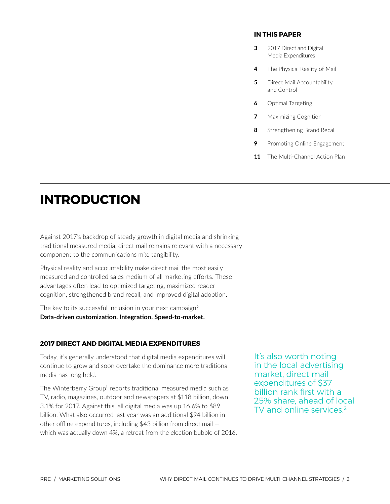#### **IN THIS PAPER**

- **3** [2017 Direct and Digital](#page-2-0) Media Expenditures
- **4** [The Physical Reality of Mail](#page-3-0)
- **5** Direct Mail Accountability and Control
- **6** Optimal [Targeting](#page-5-0)
- **7** [Maximizing](#page-6-0) Cognition
- **8** [Strengthening Brand Recall](#page-7-0)
- **9** [Promoting Online Engagement](#page-8-0)
- 11 [The Multi-Channel Action Plan](#page-10-0)

### **INTRODUCTION**

Against 2017's backdrop of steady growth in digital media and shrinking traditional measured media, direct mail remains relevant with a necessary component to the communications mix: tangibility.

Physical reality and accountability make direct mail the most easily measured and controlled sales medium of all marketing efforts. These advantages often lead to optimized targeting, maximized reader cognition, strengthened brand recall, and improved digital adoption.

The key to its successful inclusion in your next campaign? **Data-driven customization. Integration. Speed-to-market.**

#### **2017 DIRECT AND DIGITAL MEDIA EXPENDITURES**

Today, it's generally understood that digital media expenditures will continue to grow and soon overtake the dominance more traditional media has long held.

The Winterberry Group<sup>1</sup> reports traditional measured media such as TV, radio, magazines, outdoor and newspapers at \$118 billion, down 3.1% for 2017. Against this, all digital media was up 16.6% to \$89 billion. What also occurred last year was an additional \$94 billion in other offline expenditures, including \$43 billion from direct mail which was actually down 4%, a retreat from the election bubble of 2016. It's also worth noting in the local advertising market, direct mail expenditures of \$37 billion rank first with a 25% share, ahead of local TV and online services.<sup>2</sup>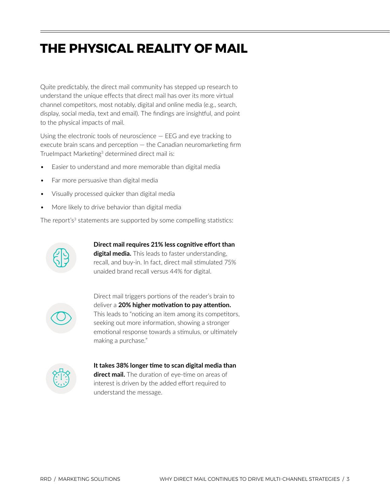# <span id="page-2-0"></span>**THE PHYSICAL REALITY OF MAIL**

Quite predictably, the direct mail community has stepped up research to understand the unique effects that direct mail has over its more virtual channel competitors, most notably, digital and online media (e.g., search, display, social media, text and email). The findings are insightful, and point to the physical impacts of mail.

Using the electronic tools of neuroscience — EEG and eye tracking to execute brain scans and perception — the Canadian neuromarketing firm TrueImpact Marketing<sup>3</sup> determined direct mail is:

- Easier to understand and more memorable than digital media
- Far more persuasive than digital media
- Visually processed quicker than digital media
- More likely to drive behavior than digital media

The report's<sup>3</sup> statements are supported by some compelling statistics:



**Direct mail requires 21% less cognitive effort than digital media.** This leads to faster understanding, recall, and buy-in. In fact, direct mail stimulated 75%

unaided brand recall versus 44% for digital.

Direct mail triggers portions of the reader's brain to deliver a **20% higher motivation to pay attention.** This leads to "noticing an item among its competitors, seeking out more information, showing a stronger emotional response towards a stimulus, or ultimately making a purchase."



**It takes 38% longer time to scan digital media than**

**direct mail.** The duration of eye-time on areas of interest is driven by the added effort required to understand the message.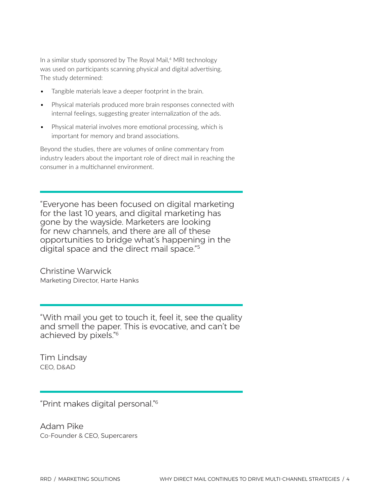<span id="page-3-0"></span>In a similar study sponsored by The Royal Mail,<sup>4</sup> MRI technology was used on participants scanning physical and digital advertising. The study determined:

- Tangible materials leave a deeper footprint in the brain.
- Physical materials produced more brain responses connected with internal feelings, suggesting greater internalization of the ads.
- Physical material involves more emotional processing, which is important for memory and brand associations.

Beyond the studies, there are volumes of online commentary from industry leaders about the important role of direct mail in reaching the consumer in a multichannel environment.

"Everyone has been focused on digital marketing for the last 10 years, and digital marketing has gone by the wayside. Marketers are looking for new channels, and there are all of these opportunities to bridge what's happening in the digital space and the direct mail space."<sup>5</sup>

Christine Warwick Marketing Director, Harte Hanks

"With mail you get to touch it, feel it, see the quality and smell the paper. This is evocative, and can't be achieved by pixels."6

Tim Lindsay CEO, D&AD

"Print makes digital personal."6

Adam Pike Co-Founder & CEO, Supercarers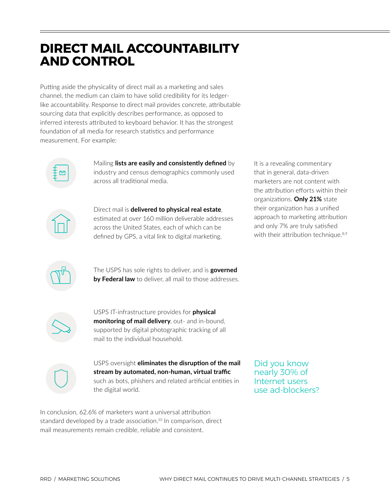### <span id="page-4-0"></span>**DIRECT MAIL ACCOUNTABILITY AND CONTROL**

Putting aside the physicality of direct mail as a marketing and sales channel, the medium can claim to have solid credibility for its ledgerlike accountability. Response to direct mail provides concrete, attributable sourcing data that explicitly describes performance, as opposed to inferred interests attributed to keyboard behavior. It has the strongest foundation of all media for research statistics and performance measurement. For example:



Mailing **lists are easily and consistently defined** by industry and census demographics commonly used across all traditional media.



Direct mail is **delivered to physical real estate**, estimated at over 160 million deliverable addresses across the United States, each of which can be defined by GPS, a vital link to digital marketing.

It is a revealing commentary that in general, data-driven marketers are not content with the attribution efforts within their organizations. **Only 21%** state their organization has a unified approach to marketing attribution and only 7% are truly satisfied with their attribution technique.<sup>8,9</sup>



The USPS has sole rights to deliver, and is **governed by Federal law** to deliver, all mail to those addresses.



USPS IT-infrastructure provides for **physical monitoring of mail delivery**, out- and in-bound, supported by digital photographic tracking of all mail to the individual household.



USPS oversight **eliminates the disruption of the mail stream by automated, non-human, virtual traffic** such as bots, phishers and related artificial entities in the digital world.

In conclusion, 62.6% of marketers want a universal attribution standard developed by a trade association.<sup>10</sup> In comparison, direct mail measurements remain credible, reliable and consistent.

Did you know nearly 30% of Internet users use ad-blockers?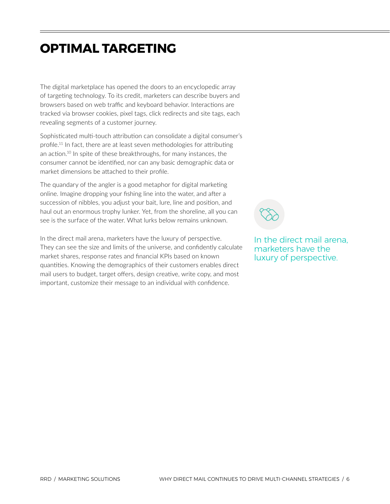### <span id="page-5-0"></span>**OPTIMAL TARGETING**

The digital marketplace has opened the doors to an encyclopedic array of targeting technology. To its credit, marketers can describe buyers and browsers based on web traffic and keyboard behavior. Interactions are tracked via browser cookies, pixel tags, click redirects and site tags, each revealing segments of a customer journey.

Sophisticated multi-touch attribution can consolidate a digital consumer's [profile.](https://profile.11)11 In fact, there are at least seven methodologies for attributing an [action.](https://action.10)<sup>10</sup> In spite of these breakthroughs, for many instances, the consumer cannot be identified, nor can any basic demographic data or market dimensions be attached to their profile.

The quandary of the angler is a good metaphor for digital marketing online. Imagine dropping your fishing line into the water, and after a succession of nibbles, you adjust your bait, lure, line and position, and haul out an enormous trophy lunker. Yet, from the shoreline, all you can see is the surface of the water. What lurks below remains unknown.

In the direct mail arena, marketers have the luxury of perspective. They can see the size and limits of the universe, and confidently calculate market shares, response rates and financial KPIs based on known quantities. Knowing the demographics of their customers enables direct mail users to budget, target offers, design creative, write copy, and most important, customize their message to an individual with confidence.

In the direct mail arena, marketers have the luxury of perspective.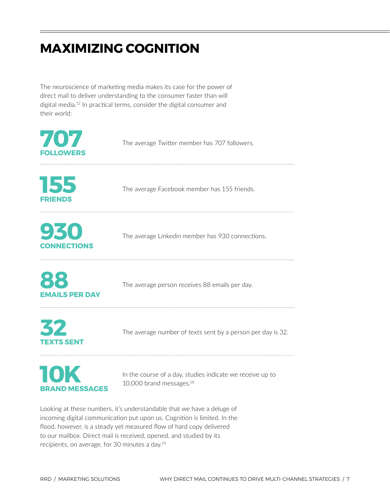### <span id="page-6-0"></span>**MAXIMIZING COGNITION**

The neuroscience of marketing media makes its case for the power of direct mail to deliver understanding to the consumer faster than will digital [media.](https://media.12)<sup>12</sup> In practical terms, consider the digital consumer and their world:

| 707<br><b>FOLLOWERS</b>   | The average Twitter member has 707 followers.                                                     |
|---------------------------|---------------------------------------------------------------------------------------------------|
| 155<br><b>FRIENDS</b>     | The average Facebook member has 155 friends.                                                      |
| 930<br><b>CONNECTIONS</b> | The average Linkedin member has 930 connections.                                                  |
| <b>EMAILS PER DAY</b>     | The average person receives 88 emails per day.                                                    |
| 32<br><b>TEXTS SENT</b>   | The average number of texts sent by a person per day is 32.                                       |
| <b>BRAND MESSAGES</b>     | In the course of a day, studies indicate we receive up to<br>10,000 brand messages. <sup>18</sup> |

Looking at these numbers, it's understandable that we have a deluge of incoming digital communication put upon us. Cognition is limited. In the flood, however, is a steady yet measured flow of hard copy delivered to our mailbox. Direct mail is received, opened, and studied by its recipients, on average, for 30 minutes a day.19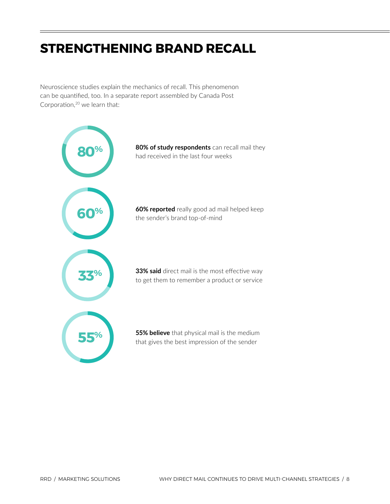## <span id="page-7-0"></span>**STRENGTHENING BRAND RECALL**

Neuroscience studies explain the mechanics of recall. This phenomenon can be quantified, too. In a separate report assembled by Canada Post Corporation, $20$  we learn that:

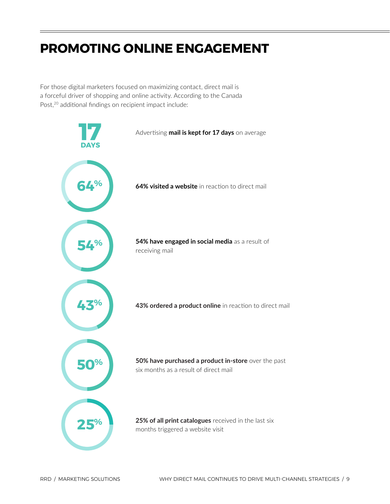## <span id="page-8-0"></span>**PROMOTING ONLINE ENGAGEMENT**

For those digital marketers focused on maximizing contact, direct mail is a forceful driver of shopping and online activity. According to the Canada Post,<sup>20</sup> additional findings on recipient impact include:

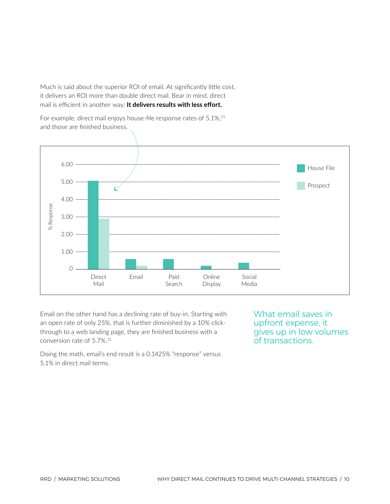Much is said about the superior ROI of email. At significantly little cost, it delivers an ROI more than double direct mail. Bear in mind, direct mail is efficient in another way: **It delivers results with less effort.**

For example, direct mail enjoys house-file response rates of 5.1%, 21 and those are finished business.



Email on the other hand has a declining rate of buy-in. Starting with an open rate of only 25%, that is further diminished by a 10% clickthrough to a web landing page, they are finished business with a conversion rate of 5.7%.<sup>21</sup>

What email saves in upfront expense, it gives up in low volumes of transactions.

Doing the math, email's end result is a 0.1425% "response" versus 5.1% in direct mail terms.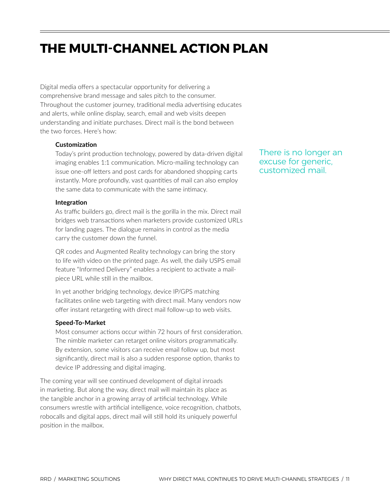## <span id="page-10-0"></span>**THE MULTI-CHANNEL ACTION PLAN**

Digital media offers a spectacular opportunity for delivering a comprehensive brand message and sales pitch to the consumer. Throughout the customer journey, traditional media advertising educates and alerts, while online display, search, email and web visits deepen understanding and initiate purchases. Direct mail is the bond between the two forces. Here's how:

#### **Customization**

Today's print production technology, powered by data-driven digital imaging enables 1:1 communication. Micro-mailing technology can issue one-off letters and post cards for abandoned shopping carts instantly. More profoundly, vast quantities of mail can also employ the same data to communicate with the same intimacy.

#### **Integration**

As traffic builders go, direct mail is the gorilla in the mix. Direct mail bridges web transactions when marketers provide customized URLs for landing pages. The dialogue remains in control as the media carry the customer down the funnel.

QR codes and Augmented Reality technology can bring the story to life with video on the printed page. As well, the daily USPS email feature "Informed Delivery" enables a recipient to activate a mailpiece URL while still in the mailbox.

In yet another bridging technology, device IP/GPS matching facilitates online web targeting with direct mail. Many vendors now offer instant retargeting with direct mail follow-up to web visits.

#### **Speed-To-Market**

Most consumer actions occur within 72 hours of first consideration. The nimble marketer can retarget online visitors programmatically. By extension, some visitors can receive email follow up, but most significantly, direct mail is also a sudden response option, thanks to device IP addressing and digital imaging.

The coming year will see continued development of digital inroads in marketing. But along the way, direct mail will maintain its place as the tangible anchor in a growing array of artificial technology. While consumers wrestle with artificial intelligence, voice recognition, chatbots, robocalls and digital apps, direct mail will still hold its uniquely powerful position in the mailbox.

There is no longer an excuse for generic, customized mail.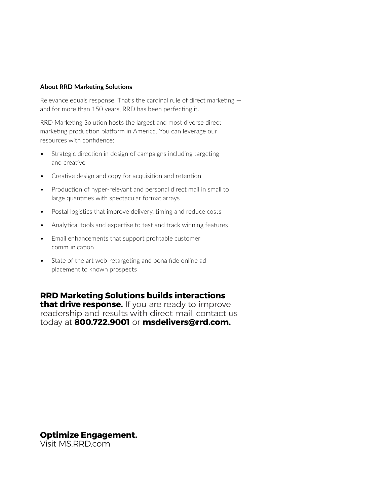#### **About RRD Marketing Solutions**

Relevance equals response. That's the cardinal rule of direct marketing and for more than 150 years, RRD has been perfecting it.

RRD Marketing Solution hosts the largest and most diverse direct marketing production platform in America. You can leverage our resources with confidence:

- Strategic direction in design of campaigns including targeting and creative
- Creative design and copy for acquisition and retention
- Production of hyper-relevant and personal direct mail in small to large quantities with spectacular format arrays
- Postal logistics that improve delivery, timing and reduce costs
- Analytical tools and expertise to test and track winning features
- Email enhancements that support profitable customer communication
- State of the art web-retargeting and bona fide online ad placement to known prospects

#### **RRD Marketing Solutions builds interactions**

**that drive response.** If you are ready to improve readership and results with direct mail, contact us today at **800.722.9001** or **[msdelivers@rrd.com](mailto:msdelivers@rrd.com).** 

#### **Optimize Engagement.**

Visit [MS.RRD.com](https://MS.RRD.com)